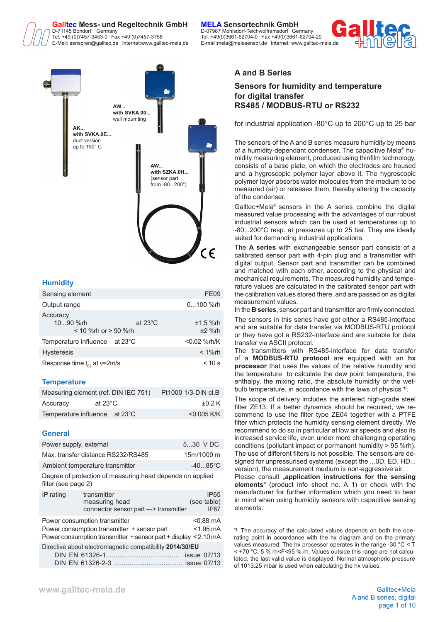

Tel. +49 (0)7457-9453-0 **Fax +49 (0)7457-3758** E-Mail: sensoren@galltec.de **.**

 Germany D-07987 Mohlsdorf-Teichwolframsdorf **.** Germany Fax +49 (0)7457-3758 Tel. +49(0)3661-62704-0 **.** Fax +49(0)3661-62704-20 Internet:www.galltec-mela.de E-mail:mela@melasensor.de **.** Internet: www.galltec-mela.de





## **Humidity**

| Sensing element                                    |                   | FE09                   |
|----------------------------------------------------|-------------------|------------------------|
| Output range                                       |                   | 0100 %rh               |
| Accuracy<br>1090 %rh<br>$<$ 10 % rh or $>$ 90 % rh | at $23^{\circ}$ C | $±1.5$ %rh<br>$±2$ %rh |
| Temperature influence at 23°C                      |                   | $< 0.02$ %rh/K         |
| <b>Hysteresis</b>                                  |                   | $< 1\%$ rh             |
| Response time $t_{\rm es}$ at v=2m/s               |                   | $< 10$ s               |

### **Temperature**

|                               | Measuring element (ref. DIN IEC 751) | Pt1000 1/3-DIN cl.B |
|-------------------------------|--------------------------------------|---------------------|
| Accuracy                      | at 23 $^{\circ}$ C                   | $\pm 0.2$ K         |
| Temperature influence at 23°C |                                      | $<$ 0.005 K/K       |

### **General**

| Power supply, external |                                                                                                                                                       | 5.30 V DC                                           |
|------------------------|-------------------------------------------------------------------------------------------------------------------------------------------------------|-----------------------------------------------------|
|                        | Max. transfer distance RS232/RS485                                                                                                                    | 15m/1000 m                                          |
|                        | Ambient temperature transmitter                                                                                                                       | $-4085^{\circ}$ C                                   |
| filter (see page 2)    | Degree of protection of measuring head depends on applied                                                                                             |                                                     |
| IP rating              | transmitter<br>measuring head<br>connector sensor part ---> transmitter                                                                               | IP <sub>65</sub><br>(see table)<br>IP <sub>67</sub> |
|                        | Power consumption transmitter<br>Power consumption transmitter + sensor part<br>Power consumption transmitter $+$ sensor part $+$ display $<$ 2.10 mA | $< 0.88$ mA<br>$<$ 1.95 mA                          |
|                        | Directive about electromagnetic compatibility 2014/30/EU                                                                                              |                                                     |

### **A and B Series**

### **Sensors for humidity and temperature for digital transfer RS485 / MODBUS-RTU or RS232**

for industrial application -80°C up to 200°C up to 25 bar

The sensors of the A and B series measure humidity by means of a humidity-dependant condenser. The capacitive Mela® humidity measuring element, produced using thinfilm technology, consists of a base plate, on which the electrodes are housed and a hygroscopic polymer layer above it. The hygroscopic polymer layer absorbs water molecules from the medium to be measured (air) or releases them, thereby altering the capacity of the condenser.

Galltec+Mela® sensors in the A series combine the digital measured value processing with the advantages of our robust industrial sensors which can be used at temperatures up to -80...200°C resp. at pressures up to 25 bar. They are ideally suited for demanding industrial applications.

The **A series** with exchangeable sensor part consists of a calibrated sensor part with 4-pin plug and a transmitter with digital output. Sensor part and transmitter can be combined and matched with each other, according to the physical and mechanical requirements. The measured humidity and temperature values are calculated in the calibrated sensor part with the calibration values stored there, and are passed on as digital measurement values.

In the **B series**, sensor part and transmitter are firmly connected.

The sensors in this series have got either a RS485-interface and are suitable for data transfer via MODBUS-RTU protocol or they have got a RS232-interface and are suitable for data transfer via ASCII protocol.

The transmitters with RS485-interface for data transfer of a **MODBUS-RTU protocol** are equipped with an **hx processor** that uses the values of the relative humidity and the temperature to calculate the dew point temperature, the enthalpy, the mixing ratio, the absolute humidity or the wetbulb temperature, in accordance with the laws of physics **1)**.

The scope of delivery includes the sintered high-grade steel filter ZE13. If a better dynamics should be required, we recommend to use the filter type ZE04 together with a PTFE filter which protects the humidity sensing element directly. We recommend to do so in particular at low air speeds and also its increased service life, even under more challenging operating conditions (pollutant impact or permanent humidity > 95 %rh). The use of different filters is not possible. The sensors are designed for unpressurised systems (except the ...0D, ED, HD... version), the measurement medium is non-aggressive air.

Please consult **application instructions for the sensing elements***"* (product info sheet no. A 1) or check with the manufacturer for further information which you need to bear in mind when using humidity sensors with capacitive sensing elements.

**1)** The accuracy of the calculated values depends on both the operating point in accordance with the hx diagram and on the primary values measured. The hx processor operates in the range -30 °C < T < +70 °C, 5 % rh<F<95 % rh. Values outside this range are not calculated, the last valid value is displayed. Normal atmospheric pressure of 1013.25 mbar is used when calculating the hx values.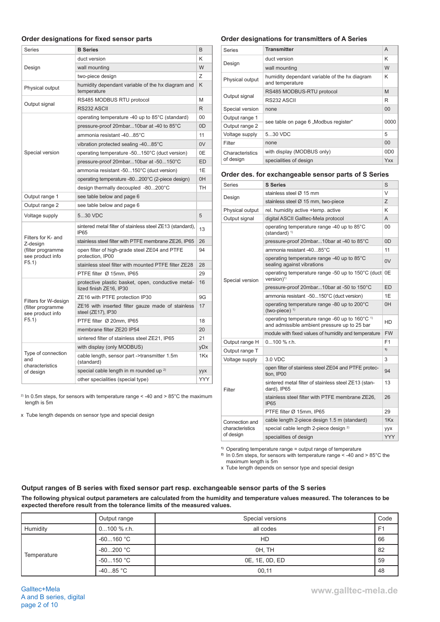### **Order designations for fixed sensor parts**

| Series                                                                  | <b>B</b> Series                                                               | B              |
|-------------------------------------------------------------------------|-------------------------------------------------------------------------------|----------------|
|                                                                         | duct version                                                                  | Κ              |
| Design                                                                  | wall mounting                                                                 | W              |
|                                                                         | two-piece design                                                              | Ζ              |
| Physical output                                                         | humidity dependant variable of the hx diagram and<br>temperature              | K              |
|                                                                         | RS485 MODBUS RTU protocol                                                     | M              |
| Output signal                                                           | RS232 ASCII                                                                   | R              |
|                                                                         | operating temperature -40 up to 85°C (standard)                               | 00             |
|                                                                         | pressure-proof 20mbar10bar at -40 to 85°C                                     | 0 <sub>D</sub> |
|                                                                         | ammonia resistant -4085°C                                                     | 11             |
|                                                                         | vibration protected sealing -4085°C                                           | 0V             |
| Special version                                                         | operating temperature -50150°C (duct version)                                 | 0E             |
|                                                                         | pressure-proof 20mbar10bar at -50150°C                                        | <b>ED</b>      |
|                                                                         | ammonia resistant -50150°C (duct version)                                     | 1E             |
|                                                                         | operating temperature -80200°C (2-piece design)                               | 0H             |
|                                                                         | design thermally decoupled -80200°C                                           | <b>TH</b>      |
| Output range 1                                                          | see table below and page 6                                                    |                |
| Output range 2                                                          | see table below and page 6                                                    |                |
| Voltage supply                                                          | 530 VDC                                                                       | 5              |
| Filters for K- and<br>Z-design<br>(filter programme<br>see product info | sintered metal filter of stainless steel ZE13 (standard),<br><b>IP65</b>      | 13             |
|                                                                         | stainless steel filter with PTFE membrane ZE26, IP65                          | 26             |
|                                                                         | open filter of high-grade steel ZE04 and PTFE<br>protection, IP00             | 94             |
| F5.1)                                                                   | stainless steel filter with mounted PTFE filter ZE28                          | 28             |
|                                                                         | PTFE filter Ø 15mm, IP65                                                      | 29             |
|                                                                         | protective plastic basket, open, conductive metal-<br>lized finish ZE16, IP30 | 16             |
| Filters for W-design                                                    | ZE16 with PTFE protection IP30                                                | 9G             |
| (filter programme<br>see product info                                   | ZE16 with inserted filter gauze made of stainless<br>steel (ZE17), IP30       | 17             |
| F5.1)                                                                   | PTFE filter Ø 20mm, IP65                                                      | 18             |
|                                                                         | membrane filter ZE20 IP54                                                     | 20             |
|                                                                         | sintered filter of stainless steel ZE21, IP65                                 | 21             |
|                                                                         | with display (only MODBUS)                                                    | yDx            |
| Type of connection<br>and<br>characteristics                            | cable length, sensor part ->transmitter 1.5m<br>(standard)                    | 1Kx            |
| of design                                                               | special cable length in m rounded up <sup>2)</sup>                            | yyx            |
|                                                                         | other specialities (special type)                                             | YYY            |

<sup>2)</sup> In 0.5m steps, for sensors with temperature range < -40 and > 85°C the maximum length is 5m

x Tube length depends on sensor type and special design

### **Order designations for transmitters of A Series**

| Series          | <b>Transmitter</b>                                               | A                           |
|-----------------|------------------------------------------------------------------|-----------------------------|
| Design          | duct version                                                     | Κ                           |
|                 | wall mounting                                                    | W                           |
| Physical output | humidity dependant variable of the hx diagram<br>and temperature | Κ                           |
|                 | RS485 MODBUS-RTU protocol                                        | M                           |
| Output signal   | RS232 ASCII                                                      | R                           |
| Special version | none                                                             | 00                          |
| Output range 1  | see table on page 6 "Modbus register"                            | 0000                        |
| Output range 2  |                                                                  |                             |
| Voltage supply  | 530 VDC                                                          | 5                           |
| Filter          | none                                                             | 00                          |
| Characteristics | with display (MODBUS only)                                       | 0 <sub>D</sub> <sub>0</sub> |
| of design       | specialities of design                                           | Yxx                         |

#### **Order des. for exchangeable sensor parts of S Series**

| <b>Series</b>   | <b>S</b> Series                                                                                           | S          |
|-----------------|-----------------------------------------------------------------------------------------------------------|------------|
|                 | stainless steel Ø 15 mm                                                                                   | $\vee$     |
| Design          | stainless steel Ø 15 mm, two-piece                                                                        | Z          |
| Physical output | rel. humidity active +temp. active                                                                        | K          |
| Output signal   | digital ASCII Galltec-Mela protocol                                                                       | A          |
|                 | operating temperature range -40 up to 85°C<br>$(statard)^{1}$                                             | 00         |
|                 | pressure-proof 20mbar10bar at -40 to 85°C                                                                 | 0D         |
|                 | ammonia resistant -4085°C                                                                                 | 11         |
|                 | operating temperature range -40 up to 85°C<br>sealing against vibrations                                  | 0V         |
| Special version | operating temperature range -50 up to 150°C (duct 0E<br>$version)^{1}$                                    |            |
|                 | pressure-proof 20mbar10bar at -50 to 150°C                                                                | ED         |
|                 | ammonia resistant -50150°C (duct version)                                                                 | 1E         |
|                 | operating temperature range -80 up to 200°C<br>(two-piece) $1$                                            | 0H         |
|                 | operating temperature range -60 up to 160°C <sup>1)</sup><br>and admissible ambient pressure up to 25 bar | HD         |
|                 | module with fixed values of humidity and temperature                                                      | <b>FW</b>  |
| Output range H  | $0100$ % r.h.                                                                                             | F1         |
| Output range T  |                                                                                                           | 1)         |
| Voltage supply  | 3.0 VDC                                                                                                   | 3          |
|                 | open filter of stainless steel ZE04 and PTFE protec-<br>tion. IP00                                        | 94         |
| Filter          | sintered metal filter of stainless steel ZE13 (stan-<br>dard), IP65                                       | 13         |
|                 | stainless steel filter with PTFE membrane ZE26,<br><b>IP65</b>                                            | 26         |
|                 | PTFE filter Ø 15mm, IP65                                                                                  | 29         |
| Connection and  | cable length 2-piece design 1.5 m (standard)                                                              | 1Kx        |
| characteristics | special cable length 2-piece design <sup>2)</sup>                                                         | yyx        |
| of design       | specialities of design                                                                                    | <b>YYY</b> |

**1)** Operating temperature range = output range of temperature

**2)** In 0.5m steps, for sensors with temperature range < -40 and > 85°C the maximum length is 5m

x Tube length depends on sensor type and special design

### **Output ranges of B series with fixed sensor part resp. exchangeable sensor parts of the S series**

**The following physical output parameters are calculated from the humidity and temperature values measured. The tolerances to be expected therefore result from the tolerance limits of the measured values.**

|             | Output range        | Special versions | Code           |
|-------------|---------------------|------------------|----------------|
| Humidity    | $0100 \%$ r.h.      | all codes        | F <sub>1</sub> |
| Temperature | $-60160 °C$         | HD               | 66             |
|             | $-80200 °C$         | OH. TH           | 82             |
|             | $-50150$ °C         | 0E, 1E, 0D, ED   | 59             |
|             | -40…85 $^{\circ}$ C | 00,11            | 48             |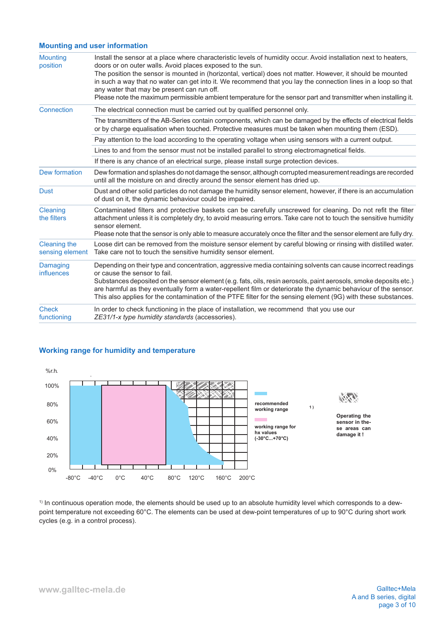### **Mounting and user information**

| <b>Mounting</b><br>position            | Install the sensor at a place where characteristic levels of humidity occur. Avoid installation next to heaters,<br>doors or on outer walls. Avoid places exposed to the sun.<br>The position the sensor is mounted in (horizontal, vertical) does not matter. However, it should be mounted<br>in such a way that no water can get into it. We recommend that you lay the connection lines in a loop so that<br>any water that may be present can run off.<br>Please note the maximum permissible ambient temperature for the sensor part and transmitter when installing it. |
|----------------------------------------|--------------------------------------------------------------------------------------------------------------------------------------------------------------------------------------------------------------------------------------------------------------------------------------------------------------------------------------------------------------------------------------------------------------------------------------------------------------------------------------------------------------------------------------------------------------------------------|
| Connection                             | The electrical connection must be carried out by qualified personnel only.                                                                                                                                                                                                                                                                                                                                                                                                                                                                                                     |
|                                        | The transmitters of the AB-Series contain components, which can be damaged by the effects of electrical fields<br>or by charge equalisation when touched. Protective measures must be taken when mounting them (ESD).                                                                                                                                                                                                                                                                                                                                                          |
|                                        | Pay attention to the load according to the operating voltage when using sensors with a current output.                                                                                                                                                                                                                                                                                                                                                                                                                                                                         |
|                                        | Lines to and from the sensor must not be installed parallel to strong electromagnetical fields.                                                                                                                                                                                                                                                                                                                                                                                                                                                                                |
|                                        | If there is any chance of an electrical surge, please install surge protection devices.                                                                                                                                                                                                                                                                                                                                                                                                                                                                                        |
| Dew formation                          | Dew formation and splashes do not damage the sensor, although corrupted measurement readings are recorded<br>until all the moisture on and directly around the sensor element has dried up.                                                                                                                                                                                                                                                                                                                                                                                    |
| <b>Dust</b>                            | Dust and other solid particles do not damage the humidity sensor element, however, if there is an accumulation<br>of dust on it, the dynamic behaviour could be impaired.                                                                                                                                                                                                                                                                                                                                                                                                      |
| Cleaning<br>the filters                | Contaminated filters and protective baskets can be carefully unscrewed for cleaning. Do not refit the filter<br>attachment unless it is completely dry, to avoid measuring errors. Take care not to touch the sensitive humidity<br>sensor element.<br>Please note that the sensor is only able to measure accurately once the filter and the sensor element are fully dry.                                                                                                                                                                                                    |
| <b>Cleaning the</b><br>sensing element | Loose dirt can be removed from the moisture sensor element by careful blowing or rinsing with distilled water.<br>Take care not to touch the sensitive humidity sensor element.                                                                                                                                                                                                                                                                                                                                                                                                |
| Damaging<br><b>influences</b>          | Depending on their type and concentration, aggressive media containing solvents can cause incorrect readings<br>or cause the sensor to fail.<br>Substances deposited on the sensor element (e.g. fats, oils, resin aerosols, paint aerosols, smoke deposits etc.)<br>are harmful as they eventually form a water-repellent film or deteriorate the dynamic behaviour of the sensor.<br>This also applies for the contamination of the PTFE filter for the sensing element (9G) with these substances.                                                                          |
| <b>Check</b><br>functioning            | In order to check functioning in the place of installation, we recommend that you use our<br>ZE31/1-x type humidity standards (accessories).                                                                                                                                                                                                                                                                                                                                                                                                                                   |

### **Working range for humidity and temperature**



<sup>1)</sup> In continuous operation mode, the elements should be used up to an absolute humidity level which corresponds to a dewpoint temperature not exceeding 60°C. The elements can be used at dew-point temperatures of up to 90°C during short work cycles (e.g. in a control process).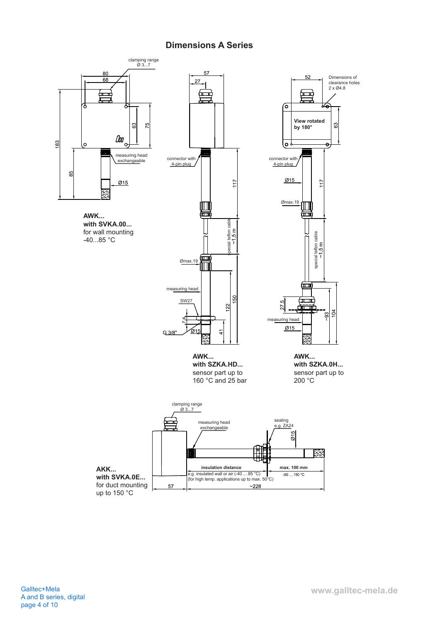# **Dimensions A Series**

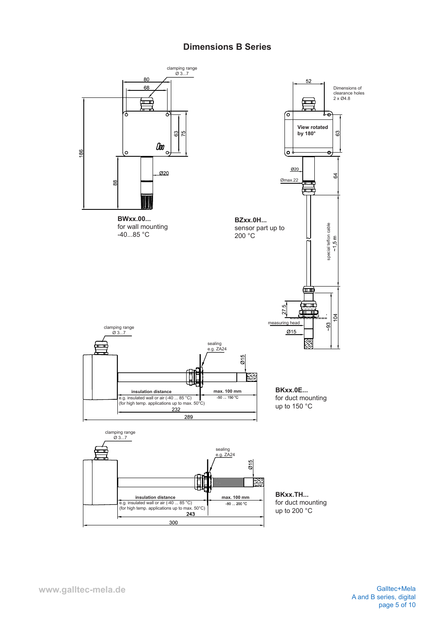# **Dimensions B Series**

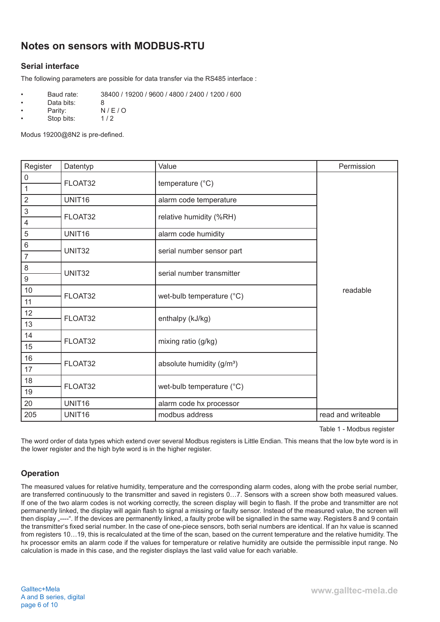# **Notes on sensors with MODBUS-RTU**

# **Serial interface**

The following parameters are possible for data transfer via the RS485 interface :

- Baud rate: 38400 / 19200 / 9600 / 4800 / 2400 / 1200 / 600
- Pata bits: 8<br>Parity: N
- $N / E / O$ <br> $1 / 2$
- Stop bits:

Modus 19200@8N2 is pre-defined.

| Register                | Datentyp | Value                                 | Permission         |
|-------------------------|----------|---------------------------------------|--------------------|
| $\mathsf{O}\xspace$     | FLOAT32  | temperature (°C)                      |                    |
| $\mathbf 1$             |          |                                       |                    |
| $\mathbf 2$             | UNIT16   | alarm code temperature                |                    |
| 3                       | FLOAT32  | relative humidity (%RH)               |                    |
| $\overline{\mathbf{4}}$ |          |                                       |                    |
| 5                       | UNIT16   | alarm code humidity                   |                    |
| 6                       | UNIT32   | serial number sensor part             |                    |
| $\overline{7}$          |          |                                       |                    |
| 8                       | UNIT32   | serial number transmitter             |                    |
| 9                       |          |                                       |                    |
| $10$                    | FLOAT32  | wet-bulb temperature (°C)             | readable           |
| 11                      |          |                                       |                    |
| 12                      | FLOAT32  | enthalpy (kJ/kg)                      |                    |
| 13                      |          |                                       |                    |
| 14                      | FLOAT32  | mixing ratio (g/kg)                   |                    |
| 15                      |          |                                       |                    |
| 16                      | FLOAT32  | absolute humidity (g/m <sup>3</sup> ) |                    |
| 17                      |          |                                       |                    |
| 18                      | FLOAT32  | wet-bulb temperature (°C)             |                    |
| 19                      |          |                                       |                    |
| 20                      | UNIT16   | alarm code hx processor               |                    |
| 205                     | UNIT16   | modbus address                        | read and writeable |

Table 1 - Modbus register

The word order of data types which extend over several Modbus registers is Little Endian. This means that the low byte word is in the lower register and the high byte word is in the higher register.

## **Operation**

The measured values for relative humidity, temperature and the corresponding alarm codes, along with the probe serial number, are transferred continuously to the transmitter and saved in registers 0…7. Sensors with a screen show both measured values. If one of the two alarm codes is not working correctly, the screen display will begin to flash. If the probe and transmitter are not permanently linked, the display will again flash to signal a missing or faulty sensor. Instead of the measured value, the screen will then display "----". If the devices are permanently linked, a faulty probe will be signalled in the same way. Registers 8 and 9 contain the transmitter's fixed serial number. In the case of one-piece sensors, both serial numbers are identical. If an hx value is scanned from registers 10...19, this is recalculated at the time of the scan, based on the current temperature and the relative humidity. The hx processor emits an alarm code if the values for temperature or relative humidity are outside the permissible input range. No calculation is made in this case, and the register displays the last valid value for each variable.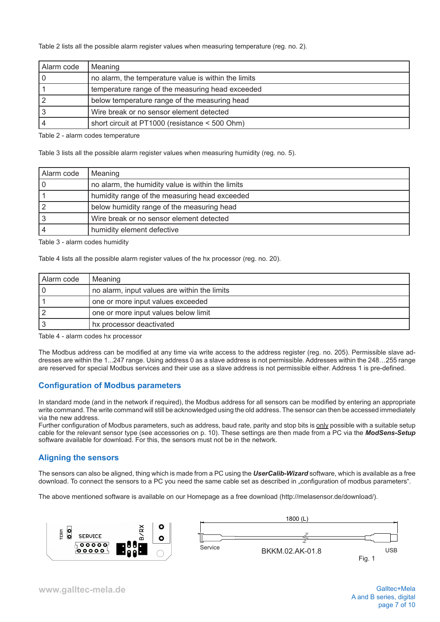Table 2 lists all the possible alarm register values when measuring temperature (reg. no. 2).

| Alarm code | Meaning                                              |
|------------|------------------------------------------------------|
|            | no alarm, the temperature value is within the limits |
|            | temperature range of the measuring head exceeded     |
|            | below temperature range of the measuring head        |
|            | Wire break or no sensor element detected             |
|            | short circuit at PT1000 (resistance < 500 Ohm)       |

Table 2 - alarm codes temperature

Table 3 lists all the possible alarm register values when measuring humidity (reg. no. 5).

| Alarm code | Meaning                                           |
|------------|---------------------------------------------------|
|            | no alarm, the humidity value is within the limits |
|            | humidity range of the measuring head exceeded     |
|            | below humidity range of the measuring head        |
|            | Wire break or no sensor element detected          |
|            | humidity element defective                        |

Table 3 - alarm codes humidity

Table 4 lists all the possible alarm register values of the hx processor (reg. no. 20).

| Alarm code | Meaning                                      |
|------------|----------------------------------------------|
|            | no alarm, input values are within the limits |
|            | one or more input values exceeded            |
|            | one or more input values below limit         |
|            | hx processor deactivated                     |

Table 4 - alarm codes hx processor

The Modbus address can be modified at any time via write access to the address register (reg. no. 205). Permissible slave addresses are within the 1...247 range. Using address 0 as a slave address is not permissible. Addresses within the 248…255 range are reserved for special Modbus services and their use as a slave address is not permissible either. Address 1 is pre-defined.

### **Configuration of Modbus parameters**

In standard mode (and in the network if required), the Modbus address for all sensors can be modified by entering an appropriate write command. The write command will still be acknowledged using the old address. The sensor can then be accessed immediately via the new address.

Further configuration of Modbus parameters, such as address, baud rate, parity and stop bits is only possible with a suitable setup cable for the relevant sensor type (see accessories on p. 10). These settings are then made from a PC via the *ModSens-Setup* software available for download. For this, the sensors must not be in the network.

### **Aligning the sensors**

The sensors can also be aligned, thing which is made from a PC using the *UserCalib-Wizard* software, which is available as a free download. To connect the sensors to a PC you need the same cable set as described in "configuration of modbus parameters".

The above mentioned software is available on our Homepage as a free download (http://melasensor.de/download/).

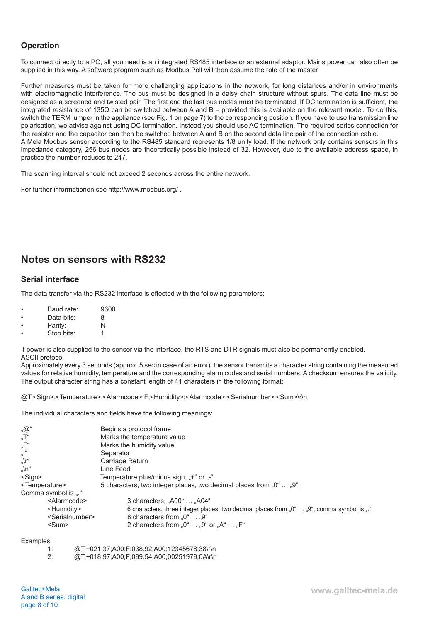# **Operation**

To connect directly to a PC, all you need is an integrated RS485 interface or an external adaptor. Mains power can also often be supplied in this way. A software program such as Modbus Poll will then assume the role of the master

Further measures must be taken for more challenging applications in the network, for long distances and/or in environments with electromagnetic interference. The bus must be designed in a daisy chain structure without spurs. The data line must be designed as a screened and twisted pair. The first and the last bus nodes must be terminated. If DC termination is sufficient, the integrated resistance of 135Ω can be switched between A and B – provided this is available on the relevant model. To do this, switch the TERM jumper in the appliance (see Fig. 1 on page 7) to the corresponding position. If you have to use transmission line polarisation, we advise against using DC termination. Instead you should use AC termination. The required series connection for the resistor and the capacitor can then be switched between A and B on the second data line pair of the connection cable. A Mela Modbus sensor according to the RS485 standard represents 1/8 unity load. If the network only contains sensors in this impedance category, 256 bus nodes are theoretically possible instead of 32. However, due to the available address space, in practice the number reduces to 247.

The scanning interval should not exceed 2 seconds across the entire network.

For further informationen see http://www.modbus.org/ .

# **Notes on sensors with RS232**

## **Serial interface**

The data transfer via the RS232 interface is effected with the following parameters:

| Baud rate: | 9600 |
|------------|------|
| Data bits: | 8    |
| Parity:    | N    |

| .          |  |
|------------|--|
| Stop bits: |  |

If power is also supplied to the sensor via the interface, the RTS and DTR signals must also be permanently enabled. ASCII protocol

Approximately every 3 seconds (approx. 5 sec in case of an error), the sensor transmits a character string containing the measured values for relative humidity, temperature and the corresponding alarm codes and serial numbers. A checksum ensures the validity. The output character string has a constant length of 41 characters in the following format:

@T;<Sign>;<Temperature>;<Alarmcode>;F;<Humidity>;<Alarmcode>;<Serialnumber>;<Sum>\r\n

The individual characters and fields have the following meanings:

|                                                           | Begins a protocol frame                                                                                         |  |
|-----------------------------------------------------------|-----------------------------------------------------------------------------------------------------------------|--|
| "@"<br>"T"                                                | Marks the temperature value                                                                                     |  |
| "F"                                                       | Marks the humidity value                                                                                        |  |
| u.,                                                       | Separator                                                                                                       |  |
| "\r"                                                      | Carriage Return                                                                                                 |  |
| "\n"                                                      | Line Feed                                                                                                       |  |
| <sign><br/>Temperature plus/minus sign, "+" or "-"</sign> |                                                                                                                 |  |
| <temperature></temperature>                               | 5 characters, two integer places, two decimal places from "0"  "9",                                             |  |
| Comma symbol is "."                                       |                                                                                                                 |  |
| <alarmcode></alarmcode>                                   | 3 characters, "A00"  "A04"                                                                                      |  |
| <humidity></humidity>                                     | 6 characters, three integer places, two decimal places from $0^{\circ}$ $0^{\circ}$ , comma symbol is $\cdot$ . |  |
| <serialnumber></serialnumber>                             | 8 characters from $.0^{\circ}$ $.9^{\circ}$                                                                     |  |
| <sum></sum>                                               | 2 characters from "0" $\dots$ "9" or "A" $\dots$ "F"                                                            |  |
| $E$ vamplaat                                              |                                                                                                                 |  |

Examples:

| -1: | @T;+021.37;A00;F;038.92;A00;12345678;38\r\n |
|-----|---------------------------------------------|
| 2:  | @T;+018.97;A00;F;099.54;A00;00251979;0A\r\n |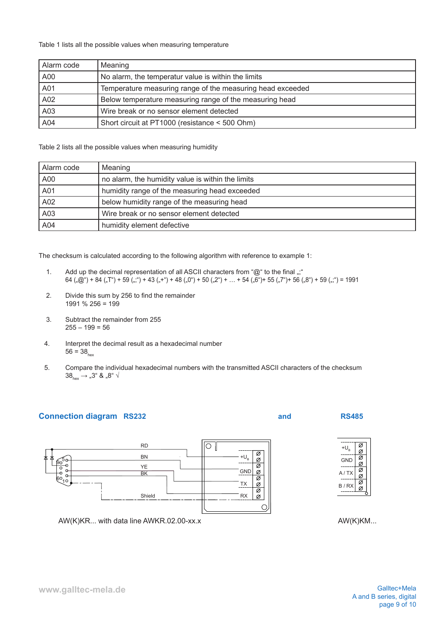Table 1 lists all the possible values when measuring temperature

| Alarm code | Meaning                                                    |  |
|------------|------------------------------------------------------------|--|
| A00        | No alarm, the temperatur value is within the limits        |  |
| A01        | Temperature measuring range of the measuring head exceeded |  |
| A02        | Below temperature measuring range of the measuring head    |  |
| A03        | Wire break or no sensor element detected                   |  |
| A04        | Short circuit at PT1000 (resistance < 500 Ohm)             |  |

Table 2 lists all the possible values when measuring humidity

| Alarm code | Meaning                                           |
|------------|---------------------------------------------------|
| A00        | no alarm, the humidity value is within the limits |
| A01        | humidity range of the measuring head exceeded     |
| A02        | below humidity range of the measuring head        |
| A03        | Wire break or no sensor element detected          |
| A04        | humidity element defective                        |

The checksum is calculated according to the following algorithm with reference to example 1:

- 1. Add up the decimal representation of all ASCII characters from "@" to the final ";"  $64 \binom{1}{20}$  + 84  $\binom{1}{3}$  + 59  $\binom{1}{2}$  + 43  $\binom{1}{3}$  + 48  $\binom{1}{2}$  + 50  $\binom{2}{3}$  +  $\ldots$  + 54  $\binom{1}{2}$  + 55  $\binom{1}{3}$  + 56  $\binom{1}{3}$  + 59  $\binom{1}{3}$  = 1991
- 2. Divide this sum by 256 to find the remainder 1991 % 256 = 199
- 3. Subtract the remainder from 255  $255 - 199 = 56$
- 4. Interpret the decimal result as a hexadecimal number  $56 = 38$ <sub>hox</sub>
- 5. Compare the individual hexadecimal numbers with the transmitted ASCII characters of the checksum  $38_{\text{hex}} \rightarrow .3$ " &  $.8$ "  $\sqrt{ }$

## **Connection diagram RS232 and RS485**





AW(K)KM...